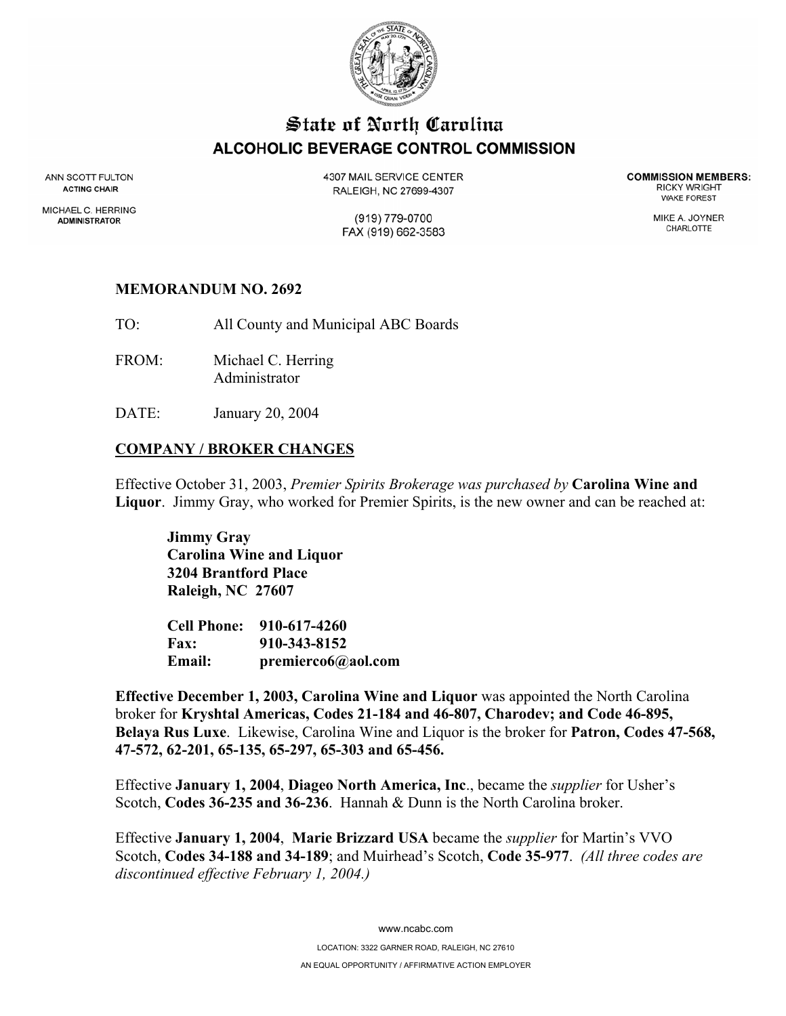

# State of North Carolina ALCOHOLIC BEVERAGE CONTROL COMMISSION

ANN SCOTT FULTON **ACTING CHAIR** 

MICHAEL C. HERRING **ADMINISTRATOR** 

**4307 MAIL SERVICE CENTER** RALEIGH, NC 27699-4307

**COMMISSION MEMBERS: RICKY WRIGHT WAKE FOREST** 

(919) 779-0700 FAX (919) 662-3583 MIKE A. JOYNER CHARLOTTE

#### **MEMORANDUM NO. 2692**

TO: All County and Municipal ABC Boards

- FROM: Michael C. Herring Administrator
- DATE: January 20, 2004

#### **COMPANY / BROKER CHANGES**

Effective October 31, 2003, *Premier Spirits Brokerage was purchased by* **Carolina Wine and Liquor**. Jimmy Gray, who worked for Premier Spirits, is the new owner and can be reached at:

**Jimmy Gray Carolina Wine and Liquor 3204 Brantford Place Raleigh, NC 27607** 

**Cell Phone: 910-617-4260 Fax: 910-343-8152 Email: premierco6@aol.com** 

**Effective December 1, 2003, Carolina Wine and Liquor** was appointed the North Carolina broker for **Kryshtal Americas, Codes 21-184 and 46-807, Charodev; and Code 46-895, Belaya Rus Luxe**. Likewise, Carolina Wine and Liquor is the broker for **Patron, Codes 47-568, 47-572, 62-201, 65-135, 65-297, 65-303 and 65-456.** 

Effective **January 1, 2004**, **Diageo North America, Inc**., became the *supplier* for Usher's Scotch, **Codes 36-235 and 36-236**. Hannah & Dunn is the North Carolina broker.

Effective **January 1, 2004**, **Marie Brizzard USA** became the *supplier* for Martin's VVO Scotch, **Codes 34-188 and 34-189**; and Muirhead's Scotch, **Code 35-977**. *(All three codes are discontinued effective February 1, 2004.)*